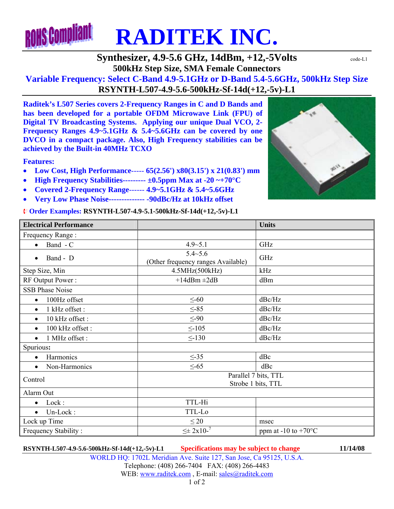

### **Synthesizer, 4.9-5.6 GHz, 14dBm, +12,-5Volts**  $\text{code-L1}$ **500kHz Step Size, SMA Female Connectors**

**Variable Frequency: Select C-Band 4.9-5.1GHz or D-Band 5.4-5.6GHz, 500kHz Step Size RSYNTH-L507-4.9-5.6-500kHz-Sf-14d(+12,-5v)-L1** 

**Raditek's L507 Series covers 2-Frequency Ranges in C and D Bands and has been developed for a portable OFDM Microwave Link (FPU) of Digital TV Broadcasting Systems. Applying our unique Dual VCO, 2- Frequency Ranges 4.9~5.1GHz & 5.4~5.6GHz can be covered by one DVCO in a compact package. Also, High Frequency stabilities can be achieved by the Built-in 40MHz TCXO** 

**Features:** 

- **Low Cost, High Performance**----- **65(2.56') x80(3.15') x 21(0.83') mm**
- **High Frequency Stabilities--------- ±0.5ppm Max at -20 ~+70°C**
- **Covered 2-Frequency Range**------ **4.9~5.1GHz & 5.4~5.6GHz**
- **Very Low Phase Noise-------------- -90dBc/Hz at 10kHz offset**

¨ **Order Examples: RSYNTH-L507-4.9-5.1-500kHz-Sf-14d(+12,-5v)-L1** 



| <b>Electrical Performance</b> |                                                      | <b>Units</b>                  |
|-------------------------------|------------------------------------------------------|-------------------------------|
| Frequency Range:              |                                                      |                               |
| Band - C<br>$\bullet$         | $4.9 - 5.1$                                          | GHz                           |
| Band - D<br>$\bullet$         | $5.4 - 5.6$                                          | GHz                           |
| Step Size, Min                | (Other frequency ranges Available)<br>4.5MHz(500kHz) | kHz                           |
| RF Output Power:              | $+14$ dBm $\pm 2$ dB                                 | dBm                           |
| <b>SSB Phase Noise</b>        |                                                      |                               |
| 100Hz offset<br>$\bullet$     | $\leq$ -60                                           | dBc/Hz                        |
| 1 kHz offset:<br>$\bullet$    | $\leq -85$                                           | dBc/Hz                        |
| 10 kHz offset:<br>$\bullet$   | $\leq -90$                                           | dBc/Hz                        |
| 100 kHz offset:<br>$\bullet$  | $\leq$ -105                                          | dBc/Hz                        |
| 1 MHz offset :<br>$\bullet$   | $\leq$ -130                                          | dBc/Hz                        |
| Spurious:                     |                                                      |                               |
| Harmonics<br>$\bullet$        | $\leq$ -35                                           | dBc                           |
| Non-Harmonics<br>$\bullet$    | $\leq -65$                                           | dBc                           |
| Control                       | Parallel 7 bits, TTL<br>Strobe 1 bits, TTL           |                               |
| Alarm Out                     |                                                      |                               |
| Lock:<br>$\bullet$            | TTL-Hi                                               |                               |
| Un-Lock:<br>$\bullet$         | TTL-Lo                                               |                               |
| Lock up Time                  | $\leq 20$                                            | msec                          |
| Frequency Stability:          | $\leq \pm 2x10^{-7}$                                 | ppm at -10 to +70 $\rm ^{o}C$ |

**RSYNTH-L507-4.9-5.6-500kHz-Sf-14d(+12,-5v)-L1 Specifications may be subject to change 11/14/08** WORLD HQ: 1702L Meridian Ave. Suite 127, San Jose, Ca 95125, U.S.A. Telephone: (408) 266-7404 FAX: (408) 266-4483 WEB: www.raditek.com, E-mail: sales@raditek.com